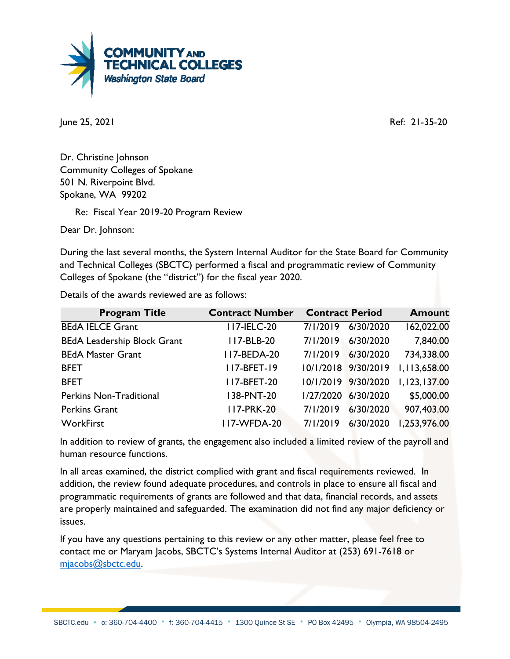

June 25, 2021 Ref: 21-35-20

Dr. Christine Johnson Community Colleges of Spokane 501 N. Riverpoint Blvd. Spokane, WA 99202

Re: Fiscal Year 2019-20 Program Review

Dear Dr. Johnson:

During the last several months, the System Internal Auditor for the State Board for Community and Technical Colleges (SBCTC) performed a fiscal and programmatic review of Community Colleges of Spokane (the "district") for the fiscal year 2020.

Details of the awards reviewed are as follows:

| <b>Program Title</b>               | <b>Contract Number</b> | <b>Contract Period</b> |                     | <b>Amount</b> |
|------------------------------------|------------------------|------------------------|---------------------|---------------|
| <b>BEdA IELCE Grant</b>            | <b>II7-IELC-20</b>     | 7/1/2019               | 6/30/2020           | 162,022.00    |
| <b>BEdA Leadership Block Grant</b> | 117-BLB-20             | 7/1/2019               | 6/30/2020           | 7,840.00      |
| <b>BEdA Master Grant</b>           | <b>II7-BEDA-20</b>     | 7/1/2019               | 6/30/2020           | 734,338.00    |
| <b>BFET</b>                        | 117-BFET-19            |                        | 10/1/2018 9/30/2019 | 1,113,658.00  |
| <b>BFET</b>                        | <b>II7-BFET-20</b>     |                        | 10/1/2019 9/30/2020 | 1,123,137.00  |
| Perkins Non-Traditional            | 138-PNT-20             | 1/27/2020              | 6/30/2020           | \$5,000.00    |
| <b>Perkins Grant</b>               | <b>II7-PRK-20</b>      | 7/1/2019               | 6/30/2020           | 907,403.00    |
| WorkFirst                          | <b>II7-WFDA-20</b>     | 7/1/2019               | 6/30/2020           | 1,253,976.00  |

In addition to review of grants, the engagement also included a limited review of the payroll and human resource functions.

In all areas examined, the district complied with grant and fiscal requirements reviewed. In addition, the review found adequate procedures, and controls in place to ensure all fiscal and programmatic requirements of grants are followed and that data, financial records, and assets are properly maintained and safeguarded. The examination did not find any major deficiency or issues.

If you have any questions pertaining to this review or any other matter, please feel free to contact me or Maryam Jacobs, SBCTC's Systems Internal Auditor at (253) 691-7618 or [mjacobs@sbctc.edu.](mailto:mjacobs@sbctc.edu)